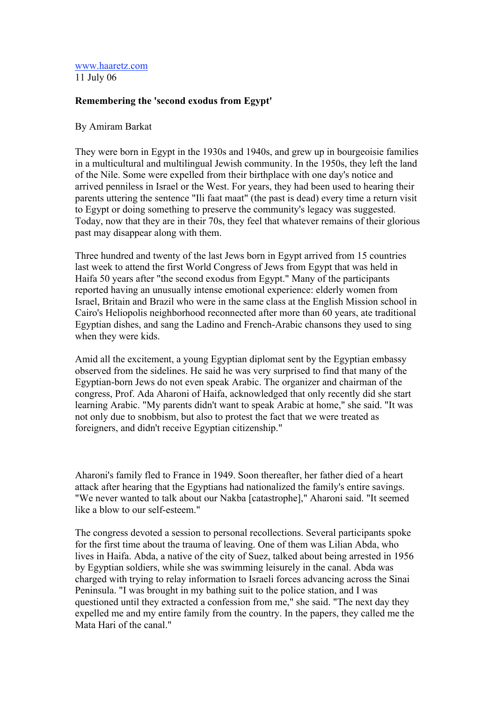## www.haaretz.com 11 July 06

## **Remembering the 'second exodus from Egypt'**

## By Amiram Barkat

They were born in Egypt in the 1930s and 1940s, and grew up in bourgeoisie families in a multicultural and multilingual Jewish community. In the 1950s, they left the land of the Nile. Some were expelled from their birthplace with one day's notice and arrived penniless in Israel or the West. For years, they had been used to hearing their parents uttering the sentence "Ili faat maat" (the past is dead) every time a return visit to Egypt or doing something to preserve the community's legacy was suggested. Today, now that they are in their 70s, they feel that whatever remains of their glorious past may disappear along with them.

Three hundred and twenty of the last Jews born in Egypt arrived from 15 countries last week to attend the first World Congress of Jews from Egypt that was held in Haifa 50 years after "the second exodus from Egypt." Many of the participants reported having an unusually intense emotional experience: elderly women from Israel, Britain and Brazil who were in the same class at the English Mission school in Cairo's Heliopolis neighborhood reconnected after more than 60 years, ate traditional Egyptian dishes, and sang the Ladino and French-Arabic chansons they used to sing when they were kids.

Amid all the excitement, a young Egyptian diplomat sent by the Egyptian embassy observed from the sidelines. He said he was very surprised to find that many of the Egyptian-born Jews do not even speak Arabic. The organizer and chairman of the congress, Prof. Ada Aharoni of Haifa, acknowledged that only recently did she start learning Arabic. "My parents didn't want to speak Arabic at home," she said. "It was not only due to snobbism, but also to protest the fact that we were treated as foreigners, and didn't receive Egyptian citizenship."

Aharoni's family fled to France in 1949. Soon thereafter, her father died of a heart attack after hearing that the Egyptians had nationalized the family's entire savings. "We never wanted to talk about our Nakba [catastrophe]," Aharoni said. "It seemed like a blow to our self-esteem."

The congress devoted a session to personal recollections. Several participants spoke for the first time about the trauma of leaving. One of them was Lilian Abda, who lives in Haifa. Abda, a native of the city of Suez, talked about being arrested in 1956 by Egyptian soldiers, while she was swimming leisurely in the canal. Abda was charged with trying to relay information to Israeli forces advancing across the Sinai Peninsula. "I was brought in my bathing suit to the police station, and I was questioned until they extracted a confession from me," she said. "The next day they expelled me and my entire family from the country. In the papers, they called me the Mata Hari of the canal."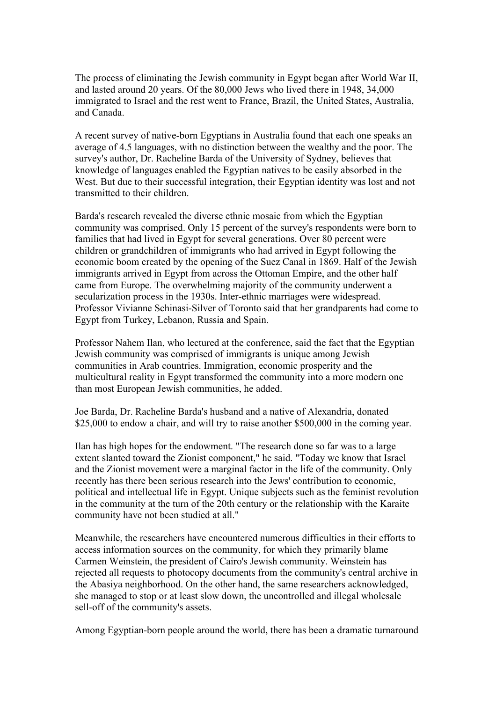The process of eliminating the Jewish community in Egypt began after World War II, and lasted around 20 years. Of the 80,000 Jews who lived there in 1948, 34,000 immigrated to Israel and the rest went to France, Brazil, the United States, Australia, and Canada.

A recent survey of native-born Egyptians in Australia found that each one speaks an average of 4.5 languages, with no distinction between the wealthy and the poor. The survey's author, Dr. Racheline Barda of the University of Sydney, believes that knowledge of languages enabled the Egyptian natives to be easily absorbed in the West. But due to their successful integration, their Egyptian identity was lost and not transmitted to their children.

Barda's research revealed the diverse ethnic mosaic from which the Egyptian community was comprised. Only 15 percent of the survey's respondents were born to families that had lived in Egypt for several generations. Over 80 percent were children or grandchildren of immigrants who had arrived in Egypt following the economic boom created by the opening of the Suez Canal in 1869. Half of the Jewish immigrants arrived in Egypt from across the Ottoman Empire, and the other half came from Europe. The overwhelming majority of the community underwent a secularization process in the 1930s. Inter-ethnic marriages were widespread. Professor Vivianne Schinasi-Silver of Toronto said that her grandparents had come to Egypt from Turkey, Lebanon, Russia and Spain.

Professor Nahem Ilan, who lectured at the conference, said the fact that the Egyptian Jewish community was comprised of immigrants is unique among Jewish communities in Arab countries. Immigration, economic prosperity and the multicultural reality in Egypt transformed the community into a more modern one than most European Jewish communities, he added.

Joe Barda, Dr. Racheline Barda's husband and a native of Alexandria, donated \$25,000 to endow a chair, and will try to raise another \$500,000 in the coming year.

Ilan has high hopes for the endowment. "The research done so far was to a large extent slanted toward the Zionist component," he said. "Today we know that Israel and the Zionist movement were a marginal factor in the life of the community. Only recently has there been serious research into the Jews' contribution to economic, political and intellectual life in Egypt. Unique subjects such as the feminist revolution in the community at the turn of the 20th century or the relationship with the Karaite community have not been studied at all."

Meanwhile, the researchers have encountered numerous difficulties in their efforts to access information sources on the community, for which they primarily blame Carmen Weinstein, the president of Cairo's Jewish community. Weinstein has rejected all requests to photocopy documents from the community's central archive in the Abasiya neighborhood. On the other hand, the same researchers acknowledged, she managed to stop or at least slow down, the uncontrolled and illegal wholesale sell-off of the community's assets.

Among Egyptian-born people around the world, there has been a dramatic turnaround